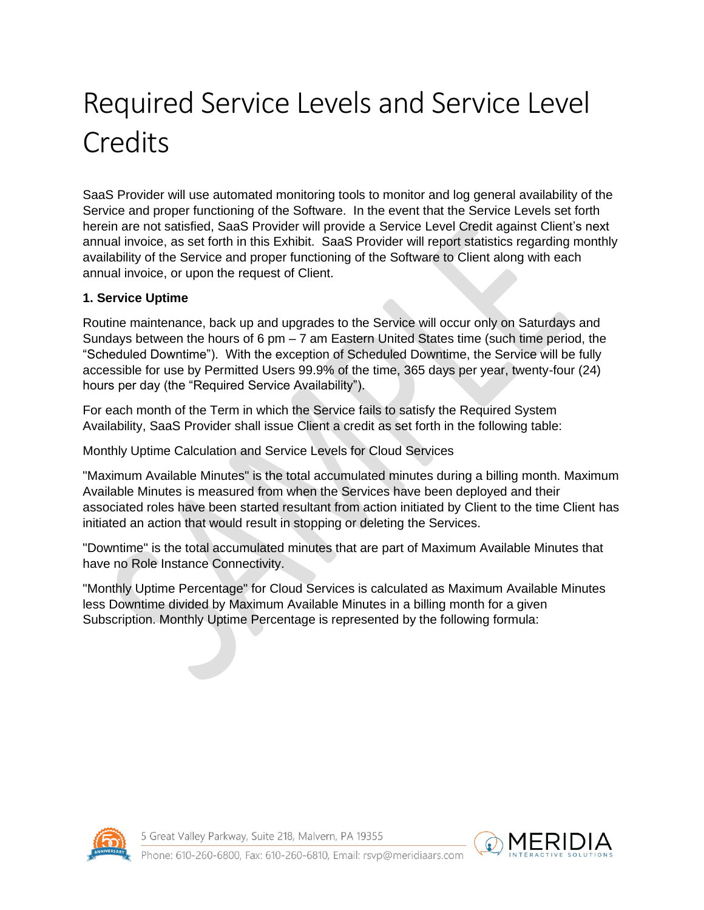# Required Service Levels and Service Level **Credits**

SaaS Provider will use automated monitoring tools to monitor and log general availability of the Service and proper functioning of the Software. In the event that the Service Levels set forth herein are not satisfied, SaaS Provider will provide a Service Level Credit against Client's next annual invoice, as set forth in this Exhibit. SaaS Provider will report statistics regarding monthly availability of the Service and proper functioning of the Software to Client along with each annual invoice, or upon the request of Client.

#### **1. Service Uptime**

Routine maintenance, back up and upgrades to the Service will occur only on Saturdays and Sundays between the hours of 6 pm  $-7$  am Eastern United States time (such time period, the "Scheduled Downtime"). With the exception of Scheduled Downtime, the Service will be fully accessible for use by Permitted Users 99.9% of the time, 365 days per year, twenty-four (24) hours per day (the "Required Service Availability").

For each month of the Term in which the Service fails to satisfy the Required System Availability, SaaS Provider shall issue Client a credit as set forth in the following table:

Monthly Uptime Calculation and Service Levels for Cloud Services

"Maximum Available Minutes" is the total accumulated minutes during a billing month. Maximum Available Minutes is measured from when the Services have been deployed and their associated roles have been started resultant from action initiated by Client to the time Client has initiated an action that would result in stopping or deleting the Services.

"Downtime" is the total accumulated minutes that are part of Maximum Available Minutes that have no Role Instance Connectivity.

"Monthly Uptime Percentage" for Cloud Services is calculated as Maximum Available Minutes less Downtime divided by Maximum Available Minutes in a billing month for a given Subscription. Monthly Uptime Percentage is represented by the following formula:



5 Great Valley Parkway, Suite 218, Malvern, PA 19355

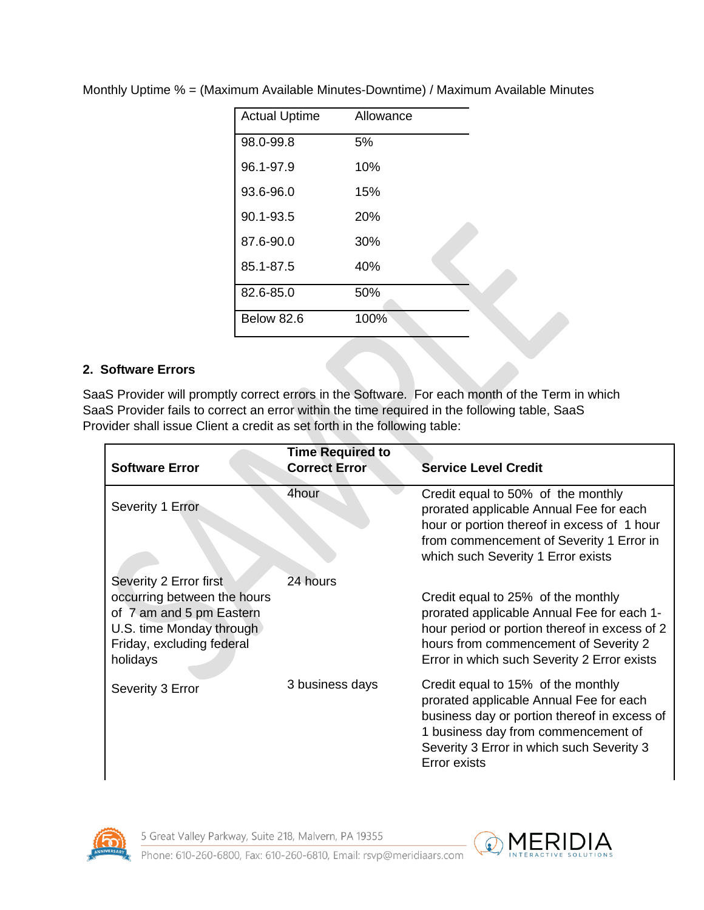| <b>Actual Uptime</b> | Allowance |
|----------------------|-----------|
| 98.0-99.8            | 5%        |
| 96.1-97.9            | 10%       |
| 93.6-96.0            | 15%       |
| 90.1-93.5            | 20%       |
| 87.6-90.0            | 30%       |
| 85.1-87.5            | 40%       |
| 82.6-85.0            | 50%       |
| Below 82.6           | 100%      |

Monthly Uptime % = (Maximum Available Minutes-Downtime) / Maximum Available Minutes

#### **2. Software Errors**

SaaS Provider will promptly correct errors in the Software. For each month of the Term in which SaaS Provider fails to correct an error within the time required in the following table, SaaS Provider shall issue Client a credit as set forth in the following table:

| <b>Software Error</b>                                                                                                                                  | <b>Time Required to</b><br><b>Correct Error</b> | <b>Service Level Credit</b>                                                                                                                                                                                                              |
|--------------------------------------------------------------------------------------------------------------------------------------------------------|-------------------------------------------------|------------------------------------------------------------------------------------------------------------------------------------------------------------------------------------------------------------------------------------------|
| Severity 1 Error                                                                                                                                       | 4hour                                           | Credit equal to 50% of the monthly<br>prorated applicable Annual Fee for each<br>hour or portion thereof in excess of 1 hour<br>from commencement of Severity 1 Error in<br>which such Severity 1 Error exists                           |
| Severity 2 Error first<br>occurring between the hours<br>of 7 am and 5 pm Eastern<br>U.S. time Monday through<br>Friday, excluding federal<br>holidays | 24 hours                                        | Credit equal to 25% of the monthly<br>prorated applicable Annual Fee for each 1-<br>hour period or portion thereof in excess of 2<br>hours from commencement of Severity 2<br>Error in which such Severity 2 Error exists                |
| Severity 3 Error                                                                                                                                       | 3 business days                                 | Credit equal to 15% of the monthly<br>prorated applicable Annual Fee for each<br>business day or portion thereof in excess of<br>1 business day from commencement of<br>Severity 3 Error in which such Severity 3<br><b>Error exists</b> |